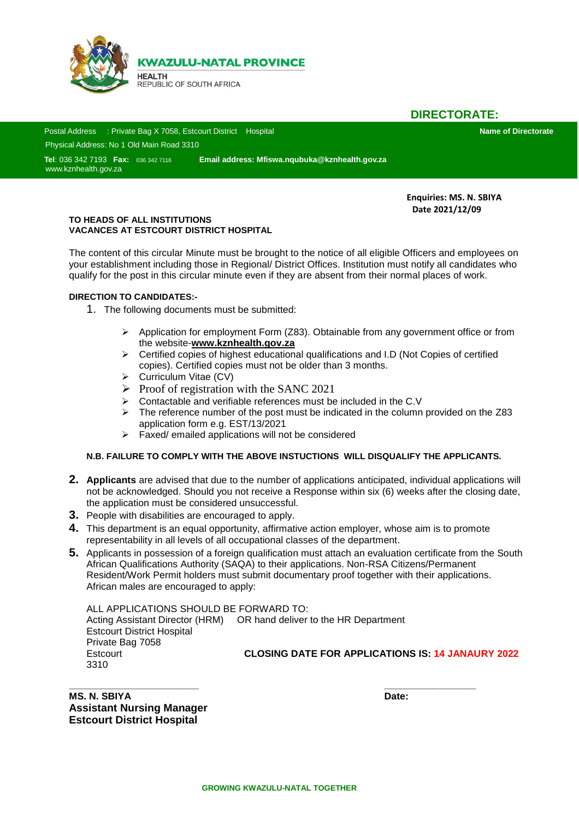

**DIRECTORATE:**

 Postal Address : Private Bag X 7058, Estcourt District Hospital **Name of Directorate** Physical Address: No 1 Old Main Road 3310

 **Tel**: 036 342 7193 **Fax:** 036 342 7116 **Email address: Mfiswa.nqubuka@kznhealth.gov.za Sad** [www.kznhealth.gov.za](http://www.kznhealth.gov.za/)

> **Enquiries: MS. N. SBIYA Date 2021/12/09**

#### **TO HEADS OF ALL INSTITUTIONS VACANCES AT ESTCOURT DISTRICT HOSPITAL**

The content of this circular Minute must be brought to the notice of all eligible Officers and employees on your establishment including those in Regional/ District Offices. Institution must notify all candidates who qualify for the post in this circular minute even if they are absent from their normal places of work.

#### **DIRECTION TO CANDIDATES:-**

1. The following documents must be submitted:

- Application for employment Form (Z83). Obtainable from any government office or from the website-**www.kznhealth.gov.za**
- $\triangleright$  Certified copies of highest educational qualifications and I.D (Not Copies of certified copies). Certified copies must not be older than 3 months.
- $\triangleright$  Curriculum Vitae (CV)
- $\triangleright$  Proof of registration with the SANC 2021
- $\triangleright$  Contactable and verifiable references must be included in the C.V
- $\triangleright$  The reference number of the post must be indicated in the column provided on the Z83 application form e.g. EST/13/2021
- $\triangleright$  Faxed/ emailed applications will not be considered

#### **N.B. FAILURE TO COMPLY WITH THE ABOVE INSTUCTIONS WILL DISQUALIFY THE APPLICANTS.**

- **2. Applicants** are advised that due to the number of applications anticipated, individual applications will not be acknowledged. Should you not receive a Response within six (6) weeks after the closing date, the application must be considered unsuccessful.
- **3.** People with disabilities are encouraged to apply.
- **4.** This department is an equal opportunity, affirmative action employer, whose aim is to promote representability in all levels of all occupational classes of the department.
- **5.** Applicants in possession of a foreign qualification must attach an evaluation certificate from the South African Qualifications Authority (SAQA) to their applications. Non-RSA Citizens/Permanent Resident/Work Permit holders must submit documentary proof together with their applications. African males are encouraged to apply:

ALL APPLICATIONS SHOULD BE FORWARD TO: Acting Assistant Director (HRM) OR hand deliver to the HR Department Estcourt District Hospital Private Bag 7058 Estcourt **CLOSING DATE FOR APPLICATIONS IS: 14 JANAURY 2022** 3310

**\_\_\_\_\_\_\_\_\_\_\_\_\_\_\_\_\_\_\_\_\_\_\_\_ \_\_\_\_\_\_\_\_\_\_\_\_\_\_\_\_\_ MS. N. SBIYA Date: Assistant Nursing Manager Estcourt District Hospital**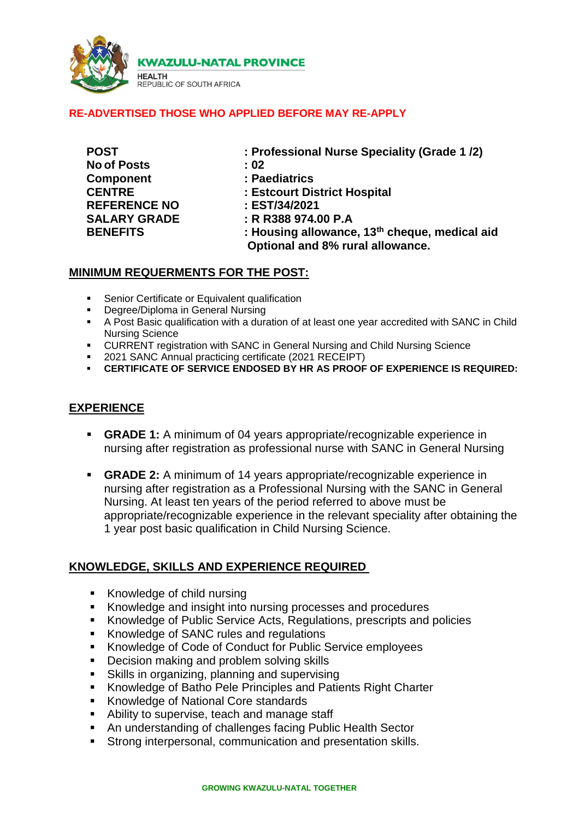

**KWAZULU-NATAL PROVINCE** 

# **NEALITY**<br>REPUBLIC OF SOUTH AFRICA

**HEALTH** 

#### **RE-ADVERTISED THOSE WHO APPLIED BEFORE MAY RE-APPLY**

| <b>POST</b>                                             | : Pr                 |                     |                |
|---------------------------------------------------------|----------------------|---------------------|----------------|
| <b>No of Posts</b><br><b>Component</b><br><b>CENTRE</b> | : 02<br>: Pa<br>: Es |                     |                |
|                                                         |                      | <b>REFERENCE NO</b> | : ES           |
|                                                         |                      | <b>SALARY GRADE</b> | $: \mathsf{R}$ |
| <b>BENEFITS</b>                                         | : Hc                 |                     |                |
|                                                         |                      |                     |                |

**Professional Nurse Speciality (Grade 1/2)** 

**Component : Paediatrics** 

**CENTRE : Estcourt District Hospital** 

**REFERENCE NO : EST/34/2021**

**SALARY GRADE : R R388 974.00 P.A** 

**BENEFITS EXECUTE: BEING cheque, medical aid 13 Optional and 8% rural allowance.**

### **MINIMUM REQUERMENTS FOR THE POST:**

- **Senior Certificate or Equivalent qualification**
- **-** Degree/Diploma in General Nursing
- A Post Basic qualification with a duration of at least one year accredited with SANC in Child Nursing Science
- CURRENT registration with SANC in General Nursing and Child Nursing Science
- 2021 SANC Annual practicing certificate (2021 RECEIPT)
- **CERTIFICATE OF SERVICE ENDOSED BY HR AS PROOF OF EXPERIENCE IS REQUIRED:**

### **EXPERIENCE**

- **GRADE 1:** A minimum of 04 years appropriate/recognizable experience in nursing after registration as professional nurse with SANC in General Nursing
- **GRADE 2:** A minimum of 14 years appropriate/recognizable experience in nursing after registration as a Professional Nursing with the SANC in General Nursing. At least ten years of the period referred to above must be appropriate/recognizable experience in the relevant speciality after obtaining the 1 year post basic qualification in Child Nursing Science.

## **KNOWLEDGE, SKILLS AND EXPERIENCE REQUIRED**

- Knowledge of child nursing
- Knowledge and insight into nursing processes and procedures
- Knowledge of Public Service Acts, Regulations, prescripts and policies
- Knowledge of SANC rules and regulations
- Knowledge of Code of Conduct for Public Service employees
- Decision making and problem solving skills
- Skills in organizing, planning and supervising
- Knowledge of Batho Pele Principles and Patients Right Charter
- **Knowledge of National Core standards**
- Ability to supervise, teach and manage staff
- An understanding of challenges facing Public Health Sector
- Strong interpersonal, communication and presentation skills.